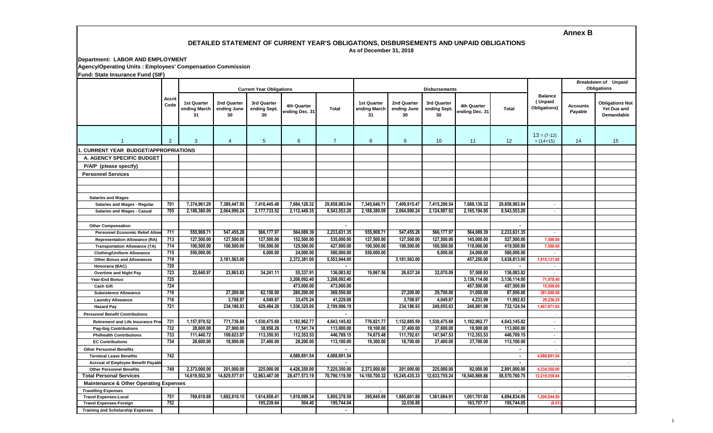# **Annex B**

#### **DETAILED STATEMENT OF CURRENT YEAR'S OBLIGATIONS, DISBURSEMENTS AND UNPAID OBLIGATIONS As of December 31, 2018**

**Department: LABOR AND EMPLOYMENT**

**Agency/Operating Units : Employees' Compensation Commission**

**Fund: State Insurance Fund (SIF)**

| $\frac{1}{2}$                                     | Accnt<br>Code  |                                   |                                  | <b>Current Year Obligations</b>   |                               |                |                                          |                                  | <b>Disbursements</b>              |                               | <b>Breakdown of Unpaid</b><br><b>Obligations</b> |                                           |                            |                                                     |
|---------------------------------------------------|----------------|-----------------------------------|----------------------------------|-----------------------------------|-------------------------------|----------------|------------------------------------------|----------------------------------|-----------------------------------|-------------------------------|--------------------------------------------------|-------------------------------------------|----------------------------|-----------------------------------------------------|
|                                                   |                | 1st Quarter<br>ending March<br>31 | 2nd Quarter<br>ending June<br>30 | 3rd Quarter<br>ending Sept.<br>30 | 4th Quarter<br>ending Dec. 31 | <b>Total</b>   | <b>1st Quarter</b><br>ending March<br>31 | 2nd Quarter<br>ending June<br>30 | 3rd Quarter<br>ending Sept.<br>30 | 4th Quarter<br>ending Dec. 31 | <b>Total</b>                                     | <b>Balance</b><br>(Unpaid<br>Obligations) | <b>Accounts</b><br>Payable | <b>Obligations Not</b><br>Yet Due and<br>Demandable |
|                                                   | $\overline{2}$ | 3                                 | $\overline{4}$                   | $5\phantom{.0}$                   | 6                             | $\overline{7}$ | 8                                        | 9                                | 10                                | 11                            | 12                                               | $13 = (7-12)$<br>$= (14+15)$              | 14                         | 15                                                  |
| <b>CURRENT YEAR BUDGET/APPROPRIATIONS</b>         |                |                                   |                                  |                                   |                               |                |                                          |                                  |                                   |                               |                                                  |                                           |                            |                                                     |
| A. AGENCY SPECIFIC BUDGET                         |                |                                   |                                  |                                   |                               |                |                                          |                                  |                                   |                               |                                                  |                                           |                            |                                                     |
| P/A/P (please specify)                            |                |                                   |                                  |                                   |                               |                |                                          |                                  |                                   |                               |                                                  |                                           |                            |                                                     |
|                                                   |                |                                   |                                  |                                   |                               |                |                                          |                                  |                                   |                               |                                                  |                                           |                            |                                                     |
| <b>Personnel Services</b>                         |                |                                   |                                  |                                   |                               |                |                                          |                                  |                                   |                               |                                                  |                                           |                            |                                                     |
|                                                   |                |                                   |                                  |                                   |                               |                |                                          |                                  |                                   |                               |                                                  |                                           |                            |                                                     |
|                                                   |                |                                   |                                  |                                   |                               |                |                                          |                                  |                                   |                               |                                                  |                                           |                            |                                                     |
| <b>Salaries and Wages</b>                         | 701            |                                   | 7.389.447.95                     |                                   | 7.684.128.32                  | 29.858.983.04  |                                          |                                  |                                   |                               | 29.858.983.04                                    |                                           |                            |                                                     |
| Salaries and Wages - Regular                      |                | 7.374.961.29                      |                                  | 7.410.445.48                      |                               |                | 7,345,646.71                             | 7.409.915.47                     | 7,415,290.54                      | 7,688,130.32                  |                                                  | . .                                       |                            |                                                     |
| Salaries and Wages - Casual                       | 705            | 2,188,380.09                      | 2,064,990.24                     | 2,177,733.52                      | 2,112,449.35                  | 8,543,553.20   | 2,188,380.09                             | 2,064,990.24                     | 2,124,987.92                      | 2,165,194.95                  | 8,543,553.20                                     | ×.                                        |                            |                                                     |
| <b>Other Compensation</b>                         |                |                                   |                                  |                                   |                               |                |                                          |                                  |                                   |                               |                                                  |                                           |                            |                                                     |
| <b>Personnel Economic Relief Alloy</b>            | 711            | 555,908.71                        | 547.455.28                       | 566.177.97                        | 564.089.39                    | 2,233,631.35   | 555,908.71                               | 547.455.28                       | 566,177.97                        | 564.089.39                    | 2.233.631.35                                     |                                           |                            |                                                     |
| <b>Representation Allowance (RA)</b>              | 713            | 127.500.00                        | 127.500.00                       | 127,500.00                        | 152.500.00                    | 535,000.00     | 127,500.00                               | 127,500.00                       | 127,500.00                        | 145,000.00                    | 527.500.00                                       | 7.500.00                                  |                            |                                                     |
| <b>Transportation Allowance (TA)</b>              | 714            | 100.500.00                        | 100,500.00                       | 100.500.00                        | 125.500.00                    | 427.000.00     | 100.500.00                               | 100,500.00                       | 100.500.00                        | 118,000.00                    | 419.500.00                                       | 7.500.00                                  |                            |                                                     |
| <b>Clothing/Uniform Allowance</b>                 | 715            | 550.000.00                        |                                  | 6.000.00                          | 24.000.00                     | 580.000.00     | 550,000,00                               |                                  | 6.000.00                          | 24.000.00                     | 580,000,00                                       |                                           |                            |                                                     |
| <b>Other Bonus and Allowances</b>                 | 719            |                                   | 3,181,563.00                     |                                   | 2,372,381.00                  | 5,553,944.00   |                                          | 3,181,563.00                     |                                   | 457,250.00                    | 3,638,813.00                                     | 1,915,131.00                              |                            |                                                     |
| Honoraria (BAC)                                   | 720            |                                   |                                  |                                   |                               |                |                                          |                                  |                                   |                               | $\blacksquare$                                   |                                           |                            |                                                     |
| <b>Overtime and Night Pay</b>                     | 723            | 22,640.97                         | 23,863.83                        | 34,241.11                         | 55,337.91                     | 136,083.82     | 19,867.56                                | 26,637.24                        | 32,070.09                         | 57,508.93                     | 136,083.82                                       | ×                                         |                            |                                                     |
| Year-End Bonus                                    | 725            |                                   |                                  |                                   | 3,208,092.40                  | 3,208,092.40   |                                          |                                  |                                   | 3,136,114.00                  | 3,136,114.00                                     | 71,978.4                                  |                            |                                                     |
| <b>Cash Gift</b>                                  | 724            |                                   |                                  |                                   | 473,000.00                    | 473,000.00     |                                          |                                  |                                   | 457,500.00                    | 457,500.00                                       | 15,500.0                                  |                            |                                                     |
| <b>Subsistence Allowance</b>                      | 716            |                                   | 27,200.00                        | 62,150.00                         | 280,200.00                    | 369,550.00     |                                          | 27,200.00                        | 29,700.00                         | 31,050.00                     | 87,950.00                                        | 281,600.0                                 |                            |                                                     |
| <b>Laundry Allowance</b>                          | 716            |                                   | 3,708.97                         | 4,049.87                          | 33,470.24                     | 41,229.08      |                                          | 3,708.97                         | 4,049.87                          | 4,233.99                      | 11,992.83                                        | 29,236.2                                  |                            |                                                     |
| <b>Hazard Pay</b>                                 | 721            |                                   | 234,186.93                       | 429.484.26                        | 1,536,325.00                  | 2,199,996.19   |                                          | 234,186.93                       | 249,055.63                        | 248,881.98                    | 732,124.54                                       | 1,467,871.6                               |                            |                                                     |
| <b>Personnel Benefit Contributions</b>            |                |                                   |                                  |                                   |                               |                |                                          |                                  |                                   |                               |                                                  |                                           |                            |                                                     |
| <b>Retirement and Life Insurance Pre</b>          | 731            | 1,157,970.52                      | 771,736.84                       | 1.530.475.69                      | 1,182,962.77                  | 4.643.145.82   | 776.821.77                               | 1,152,885.59                     | 1,530,475.69                      | 1,182,962.77                  | 4.643.145.82                                     | ×.                                        |                            |                                                     |
| <b>Pag-ibig Contributions</b>                     | 732            | 28,600.00                         | 27,900.00                        | 38,958,26                         | 17,541.74                     | 113,000.00     | 19.100.00                                | 37,400.00                        | 37,600.00                         | 18,900.00                     | 113,000.00                                       | $\sim$                                    |                            |                                                     |
| <b>Philhealth Contributions</b>                   | 733            | 111.440.72                        | 109,623.97                       | 113,350,93                        | 112,353.53                    | 446.769.15     | 74.675.48                                | 111.792.61                       | 147.947.53                        | 112.353.53                    | 446,769.15                                       | <b>A</b>                                  |                            |                                                     |
| <b>EC Contributions</b>                           | 734            | 28,600.00                         | 18,900.00                        | 37,400.00                         | 28,200.00                     | 113,100.00     | 19,300.00                                | 18,700.00                        | 37,400.00                         | 37,700.00                     | 113,100.00                                       | $\sim$                                    |                            |                                                     |
| <b>Other Personnel Benefits</b>                   |                |                                   |                                  |                                   |                               |                |                                          |                                  |                                   |                               | $\blacksquare$                                   |                                           |                            |                                                     |
| <b>Terminal Leave Benefits</b>                    | 742            |                                   |                                  |                                   | 4,088,691.54                  | 4,088,691.54   |                                          |                                  |                                   |                               | $\blacksquare$                                   | 4,088,691.5                               |                            |                                                     |
| <b>Accrual of Employee Benefit Payabl</b>         |                |                                   |                                  |                                   |                               |                |                                          |                                  |                                   |                               | $\overline{\phantom{a}}$                         |                                           |                            | <b>COL</b>                                          |
| <b>Other Personnel Benefits</b>                   | 749            | 2,373,000.00                      | 201,000.00                       | 225,000.00                        | 4,426,350.00                  | 7,225,350.00   | 2,373,000.00                             | 201,000.00                       | 225,000.00                        | 92.000.00                     | 2,891,000.00                                     | 4,334,350.0                               |                            |                                                     |
| <b>Total Personal Services</b>                    |                | 14,619,502.30                     | 14,829,577.01                    | 12,863,467.09                     | 28,477,573.19                 | 70,790,119.59  | 14,150,700.32                            | 15,245,435.33                    | 12,633,755.24                     | 16,540,869.86                 | 58,570,760.75                                    | 12,219,358.8                              |                            | $\sim$                                              |
| <b>Maintenance &amp; Other Operating Expenses</b> |                |                                   |                                  |                                   |                               |                |                                          |                                  |                                   |                               |                                                  |                                           |                            |                                                     |
| <b>Travelling Expenses</b>                        |                |                                   |                                  |                                   |                               |                |                                          |                                  |                                   |                               | $\sim$                                           |                                           |                            |                                                     |
| <b>Travel Expenses-Local</b>                      | 751            | 769,610.69                        | 1,692,810.15                     | 1,614,858.41                      | 1,818,099.34                  | 5,895,378.59   | 395,845.69                               | 1,885,601.89                     | 1,361,684.91                      | 1,051,701.60                  | 4,694,834.09                                     | 1,200,544.5                               |                            |                                                     |
| <b>Travel Expenses-Foreign</b>                    | 752            |                                   |                                  | 195.239.64                        | 504.40                        | 195.744.04     |                                          | 32.036.88                        |                                   | 163.707.17                    | 195.744.05                                       | (0.01)                                    |                            |                                                     |
| <b>Training and Scholarship Expenses</b>          |                |                                   |                                  |                                   |                               | $\sim$         |                                          |                                  |                                   |                               |                                                  |                                           |                            |                                                     |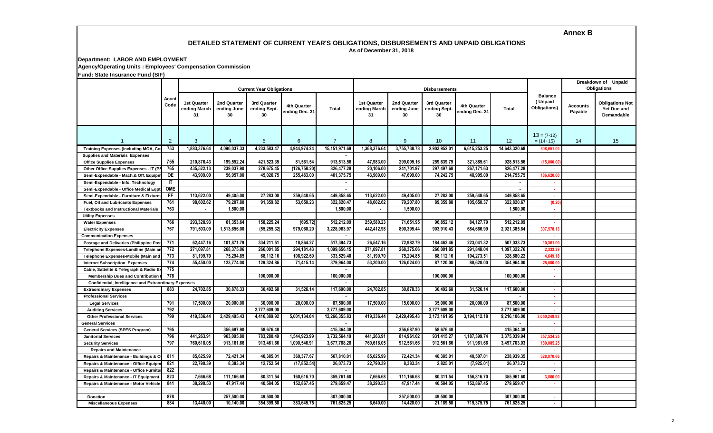# **Annex B**

#### **DETAILED STATEMENT OF CURRENT YEAR'S OBLIGATIONS, DISBURSEMENTS AND UNPAID OBLIGATIONS As of December 31, 2018**

**Department: LABOR AND EMPLOYMENT**

**Agency/Operating Units : Employees' Compensation Commission**

**Fund: State Insurance Fund (SIF)**

|                                                       | Accnt<br>Code |                                          |                                  | <b>Current Year Obligations</b>   |                               |                |                                   |                                  | <b>Disbursements</b>              |                                      | Breakdown of Unpaid<br><b>Obligations</b> |                                           |                            |                                                     |
|-------------------------------------------------------|---------------|------------------------------------------|----------------------------------|-----------------------------------|-------------------------------|----------------|-----------------------------------|----------------------------------|-----------------------------------|--------------------------------------|-------------------------------------------|-------------------------------------------|----------------------------|-----------------------------------------------------|
|                                                       |               | <b>1st Quarter</b><br>ending March<br>31 | 2nd Quarter<br>ending June<br>30 | 3rd Quarter<br>ending Sept.<br>30 | 4th Quarter<br>ending Dec. 31 | <b>Total</b>   | 1st Quarter<br>ending March<br>31 | 2nd Quarter<br>ending June<br>30 | 3rd Quarter<br>ending Sept.<br>30 | <b>4th Quarter</b><br>ending Dec. 31 | <b>Total</b>                              | <b>Balance</b><br>(Unpaid<br>Obligations) | <b>Accounts</b><br>Payable | <b>Obligations Not</b><br>Yet Due and<br>Demandable |
| $\overline{1}$                                        | 2             | 3                                        | $\overline{4}$                   | $5\overline{)}$                   | 6                             | $\overline{7}$ | 8                                 | $9^{\circ}$                      | 10                                | 11                                   | 12                                        | $13 = (7-12)$<br>$= (14+15)$              | 14                         | 15                                                  |
| <b>Training Expenses (Including MOA, Co</b>           | 753           | 1,883,376.64                             | 4,090,037.33                     | 4,233,583.4                       | 4,944,974.24                  | 15,151,971.68  | 1,368,376.64                      | 3,755,738.78                     | 2,903,952.0                       | 6,615,253.25                         | 14,643,320.68                             | 508,651.0                                 |                            |                                                     |
| <b>Supplies and Materials Expenses</b>                |               |                                          |                                  |                                   |                               |                |                                   |                                  |                                   |                                      |                                           |                                           |                            |                                                     |
| <b>Office Supplies Expenses</b>                       | 755           | 210,876.43                               | 199,552.24                       | 421,523.35                        | 81,561.54                     | 913,513.56     | 47.983.00                         | 299,005.16                       | 259,639.79                        | 321,885.61                           | 928,513.56                                | (15,000.0)                                |                            |                                                     |
| Other Office Supplies Expenses - IT (F                | 765           | 435,522.13                               | 239,037.90                       | 278,675.45                        | (126,758.20)                  | 826,477.28     | 20,106.00                         | 241,701.97                       | 297,497.68                        | 267,171.63                           | 826,477.28                                |                                           |                            |                                                     |
| Semi-Expendable - Mach.& Off. Equipn                  | $rac{}{ }$    | 43,909.00                                | 56,957.00                        | 45,026.75                         | 255,483.00                    | 401,375.75     | 43,909.00                         | 47,699.00                        | 74,242.75                         | 48,905.00                            | 214,755.75                                | 186,620.0                                 |                            |                                                     |
| Semi-Expendable - Info. Technology                    | IT            |                                          |                                  |                                   |                               | $\sim$         |                                   |                                  |                                   |                                      | $\blacksquare$                            | . .                                       |                            |                                                     |
| Semi-Expendable - Office Medical Eqpt                 | <b>OME</b>    |                                          |                                  |                                   |                               | $\blacksquare$ |                                   |                                  |                                   |                                      | $\blacksquare$                            | a.                                        |                            |                                                     |
| Semi-Expendable - Furniture & Fixtures                | F             | 113,622.00                               | 49,405.00                        | 27,283.00                         | 259,548.65                    | 449,858.65     | 113,622.00                        | 49,405.00                        | 27,283.00                         | 259,548.65                           | 449,858.65                                | ×.                                        |                            |                                                     |
| Fuel, Oil and Lubricants Expenses                     | 761           | 98,602.62                                | 79,207.80                        | 91,359.82                         | 53,650.23                     | 322,820.47     | 48,602.62                         | 79,207.80                        | 89,359.88                         | 105,650.37                           | 322,820.67                                | (0.20)                                    |                            |                                                     |
| <b>Textbooks and Instructional Materials</b>          | 763           | $\blacksquare$                           | 1,500.00                         |                                   |                               | 1,500.00       | $\sim$                            | 1,500.00                         |                                   |                                      | 1,500.00                                  | . .                                       |                            |                                                     |
| <b>Utility Expenses</b>                               |               |                                          |                                  |                                   |                               |                |                                   |                                  |                                   |                                      | $\blacksquare$                            | $\sim$                                    |                            |                                                     |
| <b>Water Expenses</b>                                 | 766           | 293,328.93                               | 61,353.64                        | 158,225.24                        | (695.72)                      | 512,212.09     | 259,580.23                        | 71,651.95                        | 96,852.12                         | 84,127.79                            | 512,212.09                                | ×.                                        |                            |                                                     |
| <b>Electricity Expenses</b>                           | 767           | 791,503.09                               | 1,513,656.00                     | (55,255.32                        | 979,060.20                    | 3,228,963.97   | 442,412.98                        | 890,395.44                       | 903,910.43                        | 684,666.99                           | 2,921,385.84                              | 307,578.1                                 |                            |                                                     |
| <b>Communication Expenses</b>                         |               |                                          |                                  |                                   |                               | $\sim$         |                                   |                                  |                                   |                                      |                                           |                                           |                            |                                                     |
| Postage and Deliveries (Philippine Po                 | 771           | 62.447.16                                | 101.871.79                       | 334.211.51                        | 18.864.27                     | 517.394.73     | 26.547.16                         | 72.982.79                        | 184.462.46                        | 223.041.32                           | 507.033.73                                | 10.361.0                                  |                            |                                                     |
| Telephone Expenses-Landline (Main a                   | 772           | 271.097.81                               | 268,375.06                       | 266.001.85                        | 294.181.43                    | 1.099.656.15   | 271.097.81                        | 268,375.06                       | 266.001.85                        | 291.848.04                           | 1,097,322.76                              | 2.333.3                                   |                            |                                                     |
| Telephone Expenses-Mobile (Main and                   | 773           | 81,199.70                                | 75.294.85                        | 68.112.16                         | 108.922.69                    | 333.529.40     | 81.199.70                         | 75.294.85                        | 68,112.16                         | 104.273.51                           | 328,880.22                                | 4.649.1                                   |                            |                                                     |
| <b>Internet Subscription Expenses</b>                 | 774           | 55.450.00                                | 123,774.00                       | 129.324.86                        | 71,415.14                     | 379,964.00     | 53,200,00                         | 126,024.00                       | 87.120.00                         | 88.620.00                            | 354.964.00                                | 25,000.0                                  |                            |                                                     |
| Cable, Sattelite & Telegraph & Radio I                | 775           |                                          |                                  |                                   |                               |                |                                   |                                  |                                   |                                      |                                           |                                           |                            |                                                     |
| <b>Membership Dues and Contribution</b>               | 778           |                                          |                                  | 100.000.00                        |                               | 100,000.00     |                                   |                                  | 100.000.00                        |                                      | 100.000.00                                | . н.                                      |                            |                                                     |
| Confidential, Intelligence and Extraordinary Expenses |               |                                          |                                  |                                   |                               |                |                                   |                                  |                                   |                                      |                                           | . н.                                      |                            |                                                     |
| <b>Extraordinary Expenses</b>                         | 883           | 24,702.85                                | 30.878.33                        | 30.492.68                         | 31,526.14                     | 117,600.00     | 24,702.85                         | 30,878.33                        | 30,492.68                         | 31,526.14                            | 117,600.00                                | ×.                                        |                            |                                                     |
| <b>Professional Services</b>                          |               |                                          |                                  |                                   |                               |                |                                   |                                  |                                   |                                      |                                           | ×.                                        |                            |                                                     |
| <b>Legal Services</b>                                 | 791           | 17,500.00                                | 20,000.00                        | 30,000.00                         | 20,000.00                     | 87,500.00      | 17,500.00                         | 15,000.00                        | 35,000.00                         | 20,000.00                            | 87,500.00                                 |                                           |                            |                                                     |
| <b>Auditing Services</b>                              | 792           |                                          |                                  | 2,777,609.00                      |                               | 2,777,609.00   |                                   |                                  | 2,777,609.00                      |                                      | 2,777,609.00                              |                                           |                            |                                                     |
| <b>Other Professional Services</b>                    | 799           | 419,336.44                               | 2,429,495.43                     | 4,416,389.92                      | 5,001,134.04                  | 12,266,355.83  | 419,336.44                        | 2,429,495.43                     | 3,173,161.95                      | 3,194,112.18                         | 9,216,106.00                              | 3,050,249.8                               |                            |                                                     |
| <b>General Services</b>                               |               |                                          |                                  |                                   |                               |                |                                   |                                  |                                   |                                      |                                           |                                           |                            |                                                     |
| <b>General Services (SPES Program)</b>                | 795           |                                          | 356,687.90                       | 58.676.48                         |                               | 415,364.38     |                                   | 356,687.90                       | 58,676.48                         |                                      | 415.364.38                                |                                           |                            |                                                     |
| <b>Janitorial Services</b>                            | 796           | 441,263.91                               | 963,095.80                       | 783,280.49                        | 1,544,923.99                  | 3,732,564.19   | 441,263.91                        | 814,961.02                       | 931,415.27                        | 1,187,399.74                         | 3,375,039.94                              | 357,524.2                                 |                            |                                                     |
| <b>Security Services</b>                              | 797           | 760,618.05                               | 913,161.66                       | 913,461.66                        | 1,090,546.91                  | 3,677,788.28   | 760,618.05                        | 912,561.66                       | 912,561.66                        | 911,961.66                           | 3,497,703.03                              | 180,085.2                                 |                            |                                                     |
| <b>Repairs and Maintenance</b>                        |               |                                          |                                  |                                   |                               | $\blacksquare$ |                                   |                                  |                                   |                                      | $\blacksquare$                            |                                           |                            |                                                     |
| Repairs & Maintenance - Buildings & O                 | 811           | 85,625.99                                | 72,421.34                        | 40,385.01                         | 369,377.67                    | 567,810.01     | 85,625.99                         | 72,421.34                        | 40,385.01                         | 40,507.01                            | 238,939.35                                | 328,870.6                                 |                            |                                                     |
| Repairs & Maintenance - Office Equipn                 | 821           | 22,790.39                                | 8,383.34                         | 12,752.54                         | (17, 852.54)                  | 26,073.73      | 22,790.39                         | 8,383.34                         | 2,825.01                          | (7,925.01)                           | 26,073.73                                 | ×.                                        |                            |                                                     |
| Repairs & Maintenance - Office Furnit                 | 822           |                                          |                                  |                                   |                               | $\blacksquare$ |                                   |                                  |                                   |                                      | $\blacksquare$                            | . .                                       |                            |                                                     |
| Repairs & Maintenance - IT Equipment                  | 823           | 7,666.68                                 | 111,166.68                       | 80.311.54                         | 160,616.70                    | 359.761.60     | 7,666.68                          | 111,166.68                       | 80.311.54                         | 156,816.70                           | 355,961.60                                | 3.800.0                                   |                            |                                                     |
| Repairs & Maintenance - Motor Vehicle                 | 841           | 38.290.53                                | 47,917.44                        | 40.584.05                         | 152,867.45                    | 279.659.47     | 38.290.53                         | 47,917.44                        | 40.584.05                         | 152.867.45                           | 279,659.47                                | ×.                                        |                            |                                                     |
|                                                       |               |                                          |                                  |                                   |                               |                |                                   |                                  |                                   |                                      |                                           |                                           |                            |                                                     |
| <b>Donation</b>                                       | 878           |                                          | 257.500.00                       | 49.500.00                         |                               | 307.000.00     |                                   | 257.500.00                       | 49.500.00                         |                                      | 307.000.00                                | . .                                       |                            |                                                     |
| <b>Miscellaneous Expenses</b>                         | 884           | 13,440.00                                | 10,140.00                        | 354,399.50                        | 383.645.75                    | 761,625.25     | 6.640.00                          | 14,420.00                        | 21,189.50                         | 719,375.75                           | 761,625.25                                | $\sim$                                    |                            |                                                     |